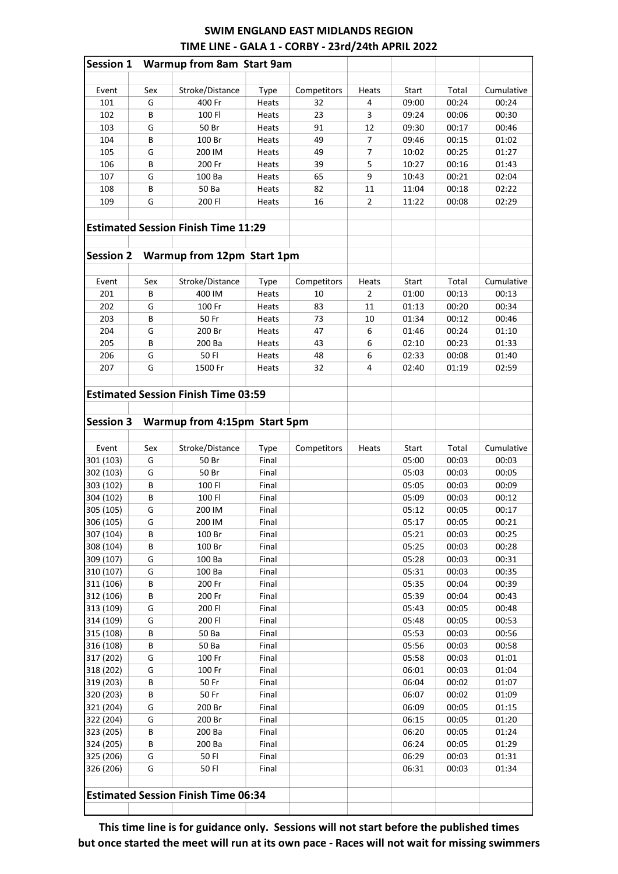## SWIM ENGLAND EAST MIDLANDS REGION TIME LINE - GALA 1 - CORBY - 23rd/24th APRIL 2022

| <b>Session 1</b> |        | <b>Warmup from 8am Start 9am</b>           |             |             |                |       |       |            |
|------------------|--------|--------------------------------------------|-------------|-------------|----------------|-------|-------|------------|
| Event            | Sex    | Stroke/Distance                            | Type        | Competitors | Heats          | Start | Total | Cumulative |
| 101              | G      | 400 Fr                                     | Heats       | 32          | 4              | 09:00 | 00:24 | 00:24      |
| 102              | B      | 100 FI                                     | Heats       | 23          | 3              | 09:24 | 00:06 | 00:30      |
| 103              | G      | 50 Br                                      | Heats       | 91          | 12             | 09:30 | 00:17 | 00:46      |
| 104              | B      | 100 Br                                     | Heats       | 49          | 7              | 09:46 | 00:15 | 01:02      |
| 105              | G      | 200 IM                                     | Heats       | 49          | 7              | 10:02 | 00:25 | 01:27      |
| 106              | B      | 200 Fr                                     | Heats       | 39          | 5              | 10:27 | 00:16 | 01:43      |
| 107              | G      | 100 Ba                                     | Heats       | 65          | 9              | 10:43 | 00:21 | 02:04      |
| 108              | B      | 50 Ba                                      | Heats       | 82          | 11             | 11:04 | 00:18 | 02:22      |
| 109              | G      | 200 FI                                     | Heats       | 16          | $\overline{2}$ | 11:22 | 00:08 | 02:29      |
|                  |        | <b>Estimated Session Finish Time 11:29</b> |             |             |                |       |       |            |
| <b>Session 2</b> |        | Warmup from 12pm Start 1pm                 |             |             |                |       |       |            |
|                  |        |                                            |             |             |                |       |       |            |
| Event            | Sex    | Stroke/Distance                            | <b>Type</b> | Competitors | Heats          | Start | Total | Cumulative |
| 201              | B      | 400 IM                                     | Heats       | 10          | 2              | 01:00 | 00:13 | 00:13      |
| 202              | G      | 100 Fr                                     | Heats       | 83          | 11             | 01:13 | 00:20 | 00:34      |
| 203              | B      | 50 Fr                                      | Heats       | 73          | 10             | 01:34 | 00:12 | 00:46      |
| 204              | G      | 200 Br                                     | Heats       | 47          | 6              | 01:46 | 00:24 | 01:10      |
| 205              | B      | 200 Ba                                     | Heats       | 43          | 6              | 02:10 | 00:23 | 01:33      |
| 206              | G      | 50 FI                                      | Heats       | 48          | 6              | 02:33 | 00:08 | 01:40      |
| 207              | G      | 1500 Fr                                    | Heats       | 32          | 4              | 02:40 | 01:19 | 02:59      |
|                  |        | <b>Estimated Session Finish Time 03:59</b> |             |             |                |       |       |            |
|                  |        |                                            |             |             |                |       |       |            |
| <b>Session 3</b> |        | Warmup from 4:15pm Start 5pm               |             |             |                |       |       |            |
|                  |        |                                            |             |             |                |       |       |            |
| Event            | Sex    | Stroke/Distance                            | <b>Type</b> | Competitors | Heats          | Start | Total | Cumulative |
| 301 (103)        | G      | 50 Br                                      | Final       |             |                | 05:00 | 00:03 | 00:03      |
| 302 (103)        | G      | 50 Br                                      | Final       |             |                | 05:03 | 00:03 | 00:05      |
| 303 (102)        | B      | 100 FI                                     | Final       |             |                | 05:05 | 00:03 | 00:09      |
| 304 (102)        | B      | 100 FI                                     | Final       |             |                | 05:09 | 00:03 | 00:12      |
| 305 (105)        | G      | 200 IM                                     | Final       |             |                | 05:12 | 00:05 | 00:17      |
| 306 (105)        | G      | 200 IM                                     | Final       |             |                | 05:17 | 00:05 | 00:21      |
| 307 (104)        | В      | 100 Br                                     | Final       |             |                | 05:21 | 00:03 | 00:25      |
| 308 (104)        | В      | 100 Br                                     | Final       |             |                | 05:25 | 00:03 | 00:28      |
| 309 (107)        | G      | 100 Ba                                     | Final       |             |                | 05:28 | 00:03 | 00:31      |
| 310 (107)        | G      | 100 Ba                                     | Final       |             |                | 05:31 | 00:03 | 00:35      |
| 311 (106)        | В      | 200 Fr                                     | Final       |             |                | 05:35 | 00:04 | 00:39      |
| 312 (106)        | В      | 200 Fr                                     | Final       |             |                | 05:39 | 00:04 | 00:43      |
| 313 (109)        | G      | 200 FI                                     | Final       |             |                | 05:43 | 00:05 | 00:48      |
| 314 (109)        | G      | 200 FI                                     | Final       |             |                | 05:48 | 00:05 | 00:53      |
| 315 (108)        | В      | 50 Ba                                      | Final       |             |                | 05:53 | 00:03 | 00:56      |
| 316 (108)        | В      | 50 Ba                                      | Final       |             |                | 05:56 | 00:03 | 00:58      |
| 317 (202)        | G      | 100 Fr                                     | Final       |             |                | 05:58 | 00:03 | 01:01      |
| 318 (202)        | G      | 100 Fr                                     | Final       |             |                | 06:01 | 00:03 | 01:04      |
| 319 (203)        | В      | 50 Fr                                      | Final       |             |                | 06:04 | 00:02 | 01:07      |
| 320 (203)        | В      | 50 Fr                                      | Final       |             |                | 06:07 | 00:02 | 01:09      |
| 321 (204)        | G      | 200 Br                                     | Final       |             |                | 06:09 | 00:05 | 01:15      |
| 322 (204)        | G      | 200 Br                                     | Final       |             |                | 06:15 | 00:05 | 01:20      |
| 323 (205)        | В      | 200 Ba                                     | Final       |             |                | 06:20 | 00:05 | 01:24      |
| 324 (205)        | В      | 200 Ba                                     | Final       |             |                | 06:24 | 00:05 | 01:29      |
|                  |        |                                            |             |             |                |       |       |            |
| 325 (206)        | G<br>G | 50 FI                                      | Final       |             |                | 06:29 | 00:03 | 01:31      |
| 326 (206)        |        | 50 FI                                      | Final       |             |                | 06:31 | 00:03 | 01:34      |
|                  |        | <b>Estimated Session Finish Time 06:34</b> |             |             |                |       |       |            |
|                  |        |                                            |             |             |                |       |       |            |

This time line is for guidance only. Sessions will not start before the published times but once started the meet will run at its own pace - Races will not wait for missing swimmers